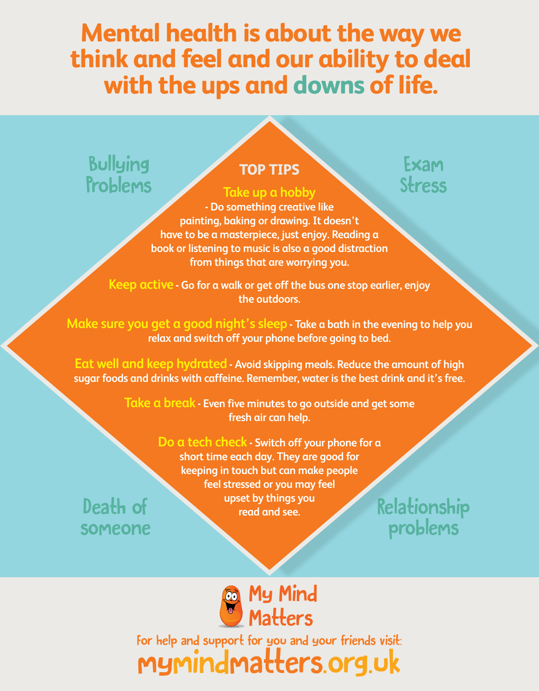## **Mental health is about the way we think and feel and our ability to deal with the ups and downs of life.**

### Bullying Problems

Death of

someone

#### **TOP TIPS**

## **Take up a hobby**

### Exam Stress

**- Do something creative like painting, baking or drawing. It doesn't have to be a masterpiece, just enjoy. Reading a book or listening to music is also a good distraction from things that are worrying you.**

**Keep active - Go for a walk or get off the bus one stop earlier, enjoy the outdoors.**

**Make sure you get a good night's sleep - Take a bath in the evening to help you relax and switch off your phone before going to bed.**

**Eat well and keep hydrated - Avoid skipping meals. Reduce the amount of high sugar foods and drinks with caffeine. Remember, water is the best drink and it's free.**

> **Take a break - Even five minutes to go outside and get some fresh air can help.**

> > **Do a tech check - Switch off your phone for a short time each day. They are good for keeping in touch but can make people feel stressed or you may feel upset by things you**  read and see.

problems



For help and support for you and your friends visit: mymindmatters.org.uk